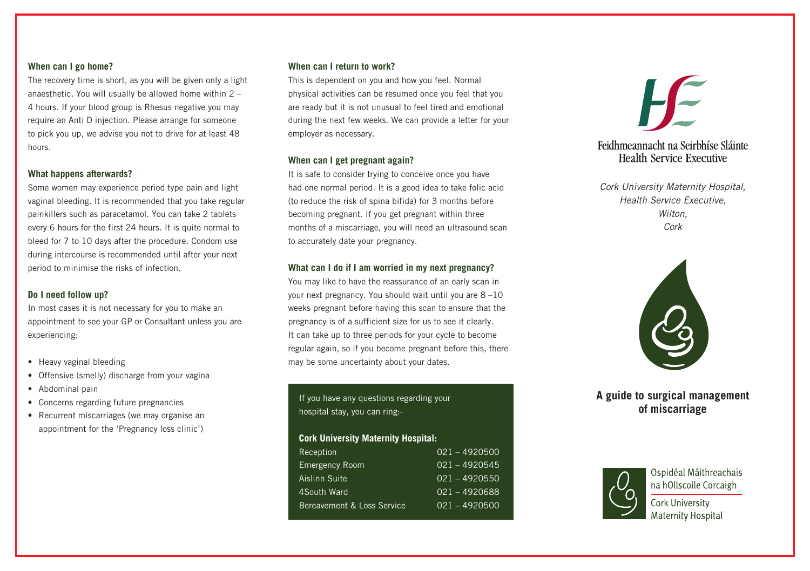### **When can I go home?**

The recovery time is short, as you will be given only a light anaesthetic. You will usually be allowed home within 2 – 4 hours. If your blood group is Rhesus negative you may require an Anti D injection. Please arrange for someone to pick you up, we advise you not to drive for at least 48 hours.

## **What happens afterwards?**

Some women may experience period type pain and light vaginal bleeding. It is recommended that you take regular painkillers such as paracetamol. You can take 2 tablets every 6 hours for the first 24 hours. It is quite normal to bleed for 7 to 10 days after the procedure. Condom use during intercourse is recommended until after your next period to minimise the risks of infection.

# **Do I need follow up?**

In most cases it is not necessary for you to make an appointment to see your GP or Consultant unless you are experiencing:

- Heavy vaginal bleeding
- Offensive (smelly) discharge from your vagina
- Abdominal pain
- Concerns regarding future pregnancies
- Recurrent miscarriages (we may organise an appointment for the 'Pregnancy loss clinic')

### **When can I return to work?**

This is dependent on you and how you feel. Normal physical activities can be resumed once you feel that you are ready but it is not unusual to feel tired and emotional during the next few weeks. We can provide a letter for your employer as necessary.

## **When can I get pregnant again?**

It is safe to consider trying to conceive once you have had one normal period. It is a good idea to take folic acid (to reduce the risk of spina bifida) for 3 months before becoming pregnant. If you get pregnant within three months of a miscarriage, you will need an ultrasound scan to accurately date your pregnancy.

# **What can I do if I am worried in my next pregnancy?**

You may like to have the reassurance of an early scan in your next pregnancy. You should wait until you are 8 –10 weeks pregnant before having this scan to ensure that the pregnancy is of a sufficient size for us to see it clearly. It can take up to three periods for your cycle to become regular again, so if you become pregnant before this, there may be some uncertainty about your dates.

If you have any questions regarding your hospital stay, you can ring:-

# **Cork University Maternity Hospital:**

| Reception                  | $021 - 4920500$ |
|----------------------------|-----------------|
| <b>Emergency Room</b>      | $021 - 4920545$ |
| Aislinn Suite              | $021 - 4920550$ |
| 4South Ward                | 021 - 4920688   |
| Bereavement & Loss Service | $021 - 4920500$ |



# Feidhmeannacht na Seirbhíse Sláinte Health Service Executive

*Cork University Maternity Hospital, Health Service Executive, Wilton, Cork*



# **A guide to surgical management of miscarriage**



Ospidéal Máithreachais na hOllscoile Corcaigh

**Cork University** Maternity Hospital